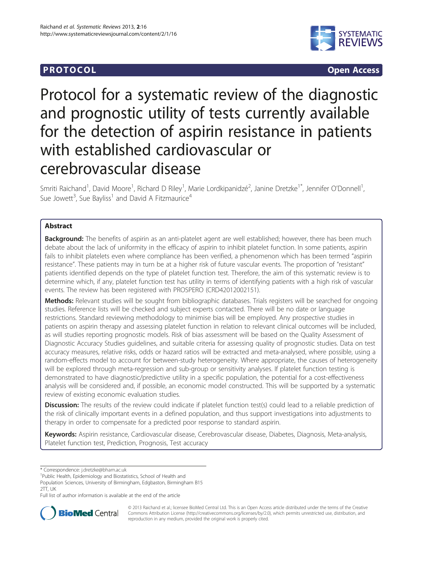## **PROTOCOL CONSUMING ACCESS**



# Protocol for a systematic review of the diagnostic and prognostic utility of tests currently available for the detection of aspirin resistance in patients with established cardiovascular or cerebrovascular disease

Smriti Raichand<sup>1</sup>, David Moore<sup>1</sup>, Richard D Riley<sup>1</sup>, Marie Lordkipanidzé<sup>2</sup>, Janine Dretzke<sup>1\*</sup>, Jennifer O'Donnell<sup>1</sup> , Sue Jowett<sup>3</sup>, Sue Bayliss<sup>1</sup> and David A Fitzmaurice<sup>4</sup>

## Abstract

Background: The benefits of aspirin as an anti-platelet agent are well established; however, there has been much debate about the lack of uniformity in the efficacy of aspirin to inhibit platelet function. In some patients, aspirin fails to inhibit platelets even where compliance has been verified, a phenomenon which has been termed "aspirin resistance". These patients may in turn be at a higher risk of future vascular events. The proportion of "resistant" patients identified depends on the type of platelet function test. Therefore, the aim of this systematic review is to determine which, if any, platelet function test has utility in terms of identifying patients with a high risk of vascular events. The review has been registered with PROSPERO (CRD42012002151).

Methods: Relevant studies will be sought from bibliographic databases. Trials registers will be searched for ongoing studies. Reference lists will be checked and subject experts contacted. There will be no date or language restrictions. Standard reviewing methodology to minimise bias will be employed. Any prospective studies in patients on aspirin therapy and assessing platelet function in relation to relevant clinical outcomes will be included, as will studies reporting prognostic models. Risk of bias assessment will be based on the Quality Assessment of Diagnostic Accuracy Studies guidelines, and suitable criteria for assessing quality of prognostic studies. Data on test accuracy measures, relative risks, odds or hazard ratios will be extracted and meta-analysed, where possible, using a random-effects model to account for between-study heterogeneity. Where appropriate, the causes of heterogeneity will be explored through meta-regression and sub-group or sensitivity analyses. If platelet function testing is demonstrated to have diagnostic/predictive utility in a specific population, the potential for a cost-effectiveness analysis will be considered and, if possible, an economic model constructed. This will be supported by a systematic review of existing economic evaluation studies.

**Discussion:** The results of the review could indicate if platelet function test(s) could lead to a reliable prediction of the risk of clinically important events in a defined population, and thus support investigations into adjustments to therapy in order to compensate for a predicted poor response to standard aspirin.

Keywords: Aspirin resistance, Cardiovascular disease, Cerebrovascular disease, Diabetes, Diagnosis, Meta-analysis, Platelet function test, Prediction, Prognosis, Test accuracy

\* Correspondence: [j.dretzke@bham.ac.uk](mailto:j.dretzke@bham.ac.uk) <sup>1</sup>

Public Health, Epidemiology and Biostatistics, School of Health and

Population Sciences, University of Birmingham, Edgbaston, Birmingham B15 2TT, UK

Full list of author information is available at the end of the article



© 2013 Raichand et al.; licensee BioMed Central Ltd. This is an Open Access article distributed under the terms of the Creative Commons Attribution License [\(http://creativecommons.org/licenses/by/2.0\)](http://creativecommons.org/licenses/by/2.0), which permits unrestricted use, distribution, and reproduction in any medium, provided the original work is properly cited.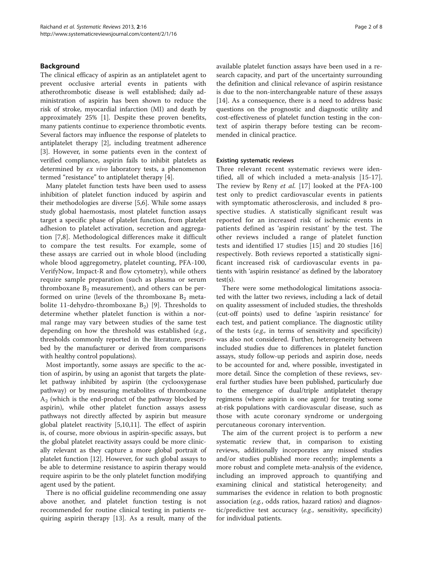#### Background

The clinical efficacy of aspirin as an antiplatelet agent to prevent occlusive arterial events in patients with atherothrombotic disease is well established; daily administration of aspirin has been shown to reduce the risk of stroke, myocardial infarction (MI) and death by approximately 25% [\[1](#page-6-0)]. Despite these proven benefits, many patients continue to experience thrombotic events. Several factors may influence the response of platelets to antiplatelet therapy [[2\]](#page-6-0), including treatment adherence [[3\]](#page-6-0). However, in some patients even in the context of verified compliance, aspirin fails to inhibit platelets as determined by ex vivo laboratory tests, a phenomenon termed "resistance" to antiplatelet therapy [[4\]](#page-6-0).

Many platelet function tests have been used to assess inhibition of platelet function induced by aspirin and their methodologies are diverse [[5,6\]](#page-6-0). While some assays study global haemostasis, most platelet function assays target a specific phase of platelet function, from platelet adhesion to platelet activation, secretion and aggregation [[7,8](#page-6-0)]. Methodological differences make it difficult to compare the test results. For example, some of these assays are carried out in whole blood (including whole blood aggregometry, platelet counting, PFA-100, VerifyNow, Impact-R and flow cytometry), while others require sample preparation (such as plasma or serum thromboxane  $B_2$  measurement), and others can be performed on urine (levels of the thromboxane  $B_2$  metabolite 11-dehydro-thromboxane  $B_2$ ) [[9\]](#page-6-0). Thresholds to determine whether platelet function is within a normal range may vary between studies of the same test depending on how the threshold was established (e.g., thresholds commonly reported in the literature, prescribed by the manufacturer or derived from comparisons with healthy control populations).

Most importantly, some assays are specific to the action of aspirin, by using an agonist that targets the platelet pathway inhibited by aspirin (the cyclooxygenase pathway) or by measuring metabolites of thromboxane  $A_2$  (which is the end-product of the pathway blocked by aspirin), while other platelet function assays assess pathways not directly affected by aspirin but measure global platelet reactivity [[5,](#page-6-0)[10,11](#page-7-0)]. The effect of aspirin is, of course, more obvious in aspirin-specific assays, but the global platelet reactivity assays could be more clinically relevant as they capture a more global portrait of platelet function [\[12](#page-7-0)]. However, for such global assays to be able to determine resistance to aspirin therapy would require aspirin to be the only platelet function modifying agent used by the patient.

There is no official guideline recommending one assay above another, and platelet function testing is not recommended for routine clinical testing in patients requiring aspirin therapy [\[13](#page-7-0)]. As a result, many of the

available platelet function assays have been used in a research capacity, and part of the uncertainty surrounding the definition and clinical relevance of aspirin resistance is due to the non-interchangeable nature of these assays [[14\]](#page-7-0). As a consequence, there is a need to address basic questions on the prognostic and diagnostic utility and cost-effectiveness of platelet function testing in the context of aspirin therapy before testing can be recommended in clinical practice.

#### Existing systematic reviews

Three relevant recent systematic reviews were identified, all of which included a meta-analysis [\[15](#page-7-0)-[17](#page-7-0)]. The review by Reny et al. [[17](#page-7-0)] looked at the PFA-100 test only to predict cardiovascular events in patients with symptomatic atherosclerosis, and included 8 prospective studies. A statistically significant result was reported for an increased risk of ischemic events in patients defined as 'aspirin resistant' by the test. The other reviews included a range of platelet function tests and identified 17 studies [\[15](#page-7-0)] and 20 studies [\[16](#page-7-0)] respectively. Both reviews reported a statistically significant increased risk of cardiovascular events in patients with 'aspirin resistance' as defined by the laboratory test(s).

There were some methodological limitations associated with the latter two reviews, including a lack of detail on quality assessment of included studies, the thresholds (cut-off points) used to define 'aspirin resistance' for each test, and patient compliance. The diagnostic utility of the tests (e.g., in terms of sensitivity and specificity) was also not considered. Further, heterogeneity between included studies due to differences in platelet function assays, study follow-up periods and aspirin dose, needs to be accounted for and, where possible, investigated in more detail. Since the completion of these reviews, several further studies have been published, particularly due to the emergence of dual/triple antiplatelet therapy regimens (where aspirin is one agent) for treating some at-risk populations with cardiovascular disease, such as those with acute coronary syndrome or undergoing percutaneous coronary intervention.

The aim of the current project is to perform a new systematic review that, in comparison to existing reviews, additionally incorporates any missed studies and/or studies published more recently; implements a more robust and complete meta-analysis of the evidence, including an improved approach to quantifying and examining clinical and statistical heterogeneity; and summarises the evidence in relation to both prognostic association (e.g., odds ratios, hazard ratios) and diagnostic/predictive test accuracy (e.g., sensitivity, specificity) for individual patients.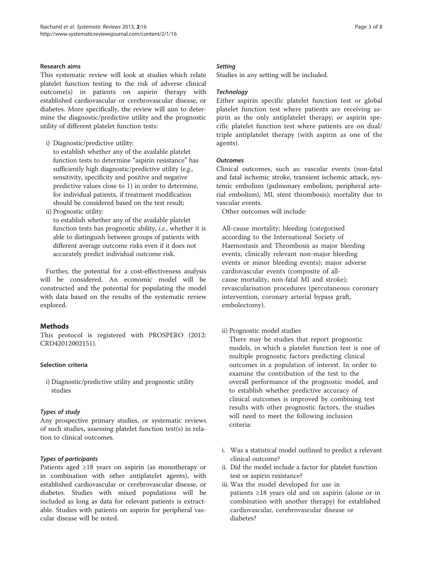## Research aims

This systematic review will look at studies which relate platelet function testing to the risk of adverse clinical outcome(s) in patients on aspirin therapy with established cardiovascular or cerebrovascular disease, or diabetes. More specifically, the review will aim to determine the diagnostic/predictive utility and the prognostic utility of different platelet function tests:

i) Diagnostic/predictive utility:

to establish whether any of the available platelet function tests to determine "aspirin resistance" has sufficiently high diagnostic/predictive utility (e.g., sensitivity, specificity and positive and negative predictive values close to 1) in order to determine, for individual patients, if treatment modification should be considered based on the test result;

ii) Prognostic utility:

to establish whether any of the available platelet function tests has prognostic ability, i.e., whether it is able to distinguish between groups of patients with different average outcome risks even if it does not accurately predict individual outcome risk.

Further, the potential for a cost-effectiveness analysis will be considered. An economic model will be constructed and the potential for populating the model with data based on the results of the systematic review explored.

## Methods

This protocol is registered with PROSPERO (2012: CRD42012002151).

## Selection criteria

i) Diagnostic/predictive utility and prognostic utility studies

## Types of study

Any prospective primary studies, or systematic reviews of such studies, assessing platelet function test(s) in relation to clinical outcomes.

## Types of participants

Patients aged ≥18 years on aspirin (as monotherapy or in combination with other antiplatelet agents), with established cardiovascular or cerebrovascular disease, or diabetes. Studies with mixed populations will be included as long as data for relevant patients is extractable. Studies with patients on aspirin for peripheral vascular disease will be noted.

## **Setting**

Studies in any setting will be included.

## **Technology**

Either aspirin specific platelet function test or global platelet function test where patients are receiving aspirin as the only antiplatelet therapy; or aspirin specific platelet function test where patients are on dual/ triple antiplatelet therapy (with aspirin as one of the agents).

## **Outcomes**

Clinical outcomes, such as: vascular events (non-fatal and fatal ischemic stroke, transient ischemic attack, systemic embolism (pulmonary embolism, peripheral arterial embolism), MI, stent thrombosis); mortality due to vascular events.

Other outcomes will include:

All-cause mortality; bleeding (categorised according to the International Society of Haemostasis and Thrombosis as major bleeding events, clinically relevant non-major bleeding events or minor bleeding events); major adverse cardiovascular events (composite of allcause mortality, non-fatal MI and stroke); revascularisation procedures (percutaneous coronary intervention, coronary arterial bypass graft, embolectomy).

ii) Prognostic model studies

There may be studies that report prognostic models, in which a platelet function test is one of multiple prognostic factors predicting clinical outcomes in a population of interest. In order to examine the contribution of the test to the overall performance of the prognostic model, and to establish whether predictive accuracy of clinical outcomes is improved by combining test results with other prognostic factors, the studies will need to meet the following inclusion criteria:

- i. Was a statistical model outlined to predict a relevant clinical outcome?
- ii. Did the model include a factor for platelet function test or aspirin resistance?
- iii. Was the model developed for use in patients ≥18 years old and on aspirin (alone or in combination with another therapy) for established cardiovascular, cerebrovascular disease or diabetes?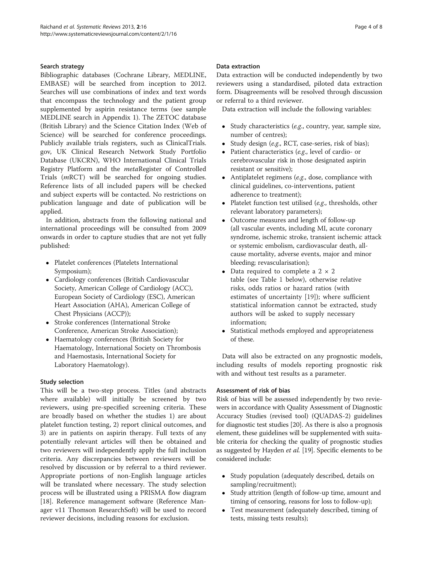## Search strategy

Bibliographic databases (Cochrane Library, MEDLINE, EMBASE) will be searched from inception to 2012. Searches will use combinations of index and text words that encompass the technology and the patient group supplemented by aspirin resistance terms (see sample MEDLINE search in Appendix 1). The ZETOC database (British Library) and the Science Citation Index (Web of Science) will be searched for conference proceedings. Publicly available trials registers, such as ClinicalTrials. gov, UK Clinical Research Network Study Portfolio Database (UKCRN), WHO International Clinical Trials Registry Platform and the metaRegister of Controlled Trials (mRCT) will be searched for ongoing studies. Reference lists of all included papers will be checked and subject experts will be contacted. No restrictions on publication language and date of publication will be applied.

In addition, abstracts from the following national and international proceedings will be consulted from 2009 onwards in order to capture studies that are not yet fully published:

- Platelet conferences (Platelets International Symposium);
- Cardiology conferences (British Cardiovascular Society, American College of Cardiology (ACC), European Society of Cardiology (ESC), American Heart Association (AHA), American College of Chest Physicians (ACCP));
- Stroke conferences (International Stroke Conference, American Stroke Association);
- Haematology conferences (British Society for Haematology, International Society on Thrombosis and Haemostasis, International Society for Laboratory Haematology).

## Study selection

This will be a two-step process. Titles (and abstracts where available) will initially be screened by two reviewers, using pre-specified screening criteria. These are broadly based on whether the studies 1) are about platelet function testing, 2) report clinical outcomes, and 3) are in patients on aspirin therapy. Full texts of any potentially relevant articles will then be obtained and two reviewers will independently apply the full inclusion criteria. Any discrepancies between reviewers will be resolved by discussion or by referral to a third reviewer. Appropriate portions of non-English language articles will be translated where necessary. The study selection process will be illustrated using a PRISMA flow diagram [[18\]](#page-7-0). Reference management software (Reference Manager v11 Thomson ResearchSoft) will be used to record reviewer decisions, including reasons for exclusion.

## Data extraction

Data extraction will be conducted independently by two reviewers using a standardised, piloted data extraction form. Disagreements will be resolved through discussion or referral to a third reviewer.

Data extraction will include the following variables:

- Study characteristics (e.g., country, year, sample size, number of centres);
- Study design (e.g., RCT, case-series, risk of bias);
- Patient characteristics (e.g., level of cardio- or cerebrovascular risk in those designated aspirin resistant or sensitive);
- Antiplatelet regimens (e.g., dose, compliance with clinical guidelines, co-interventions, patient adherence to treatment);
- Platelet function test utilised (e.g., thresholds, other relevant laboratory parameters);
- Outcome measures and length of follow-up (all vascular events, including MI, acute coronary syndrome, ischemic stroke, transient ischemic attack or systemic embolism, cardiovascular death, allcause mortality, adverse events, major and minor bleeding; revascularisation);
- Data required to complete a  $2 \times 2$ table (see Table [1](#page-4-0) below), otherwise relative risks, odds ratios or hazard ratios (with estimates of uncertainty [\[19](#page-7-0)]); where sufficient statistical information cannot be extracted, study authors will be asked to supply necessary information;
- Statistical methods employed and appropriateness of these.

Data will also be extracted on any prognostic models, including results of models reporting prognostic risk with and without test results as a parameter.

## Assessment of risk of bias

Risk of bias will be assessed independently by two reviewers in accordance with Quality Assessment of Diagnostic Accuracy Studies (revised tool) (QUADAS-2) guidelines for diagnostic test studies [\[20\]](#page-7-0). As there is also a prognosis element, these guidelines will be supplemented with suitable criteria for checking the quality of prognostic studies as suggested by Hayden *et al.* [[19](#page-7-0)]. Specific elements to be considered include:

- Study population (adequately described, details on sampling/recruitment);
- Study attrition (length of follow-up time, amount and timing of censoring, reasons for loss to follow-up);
- Test measurement (adequately described, timing of tests, missing tests results);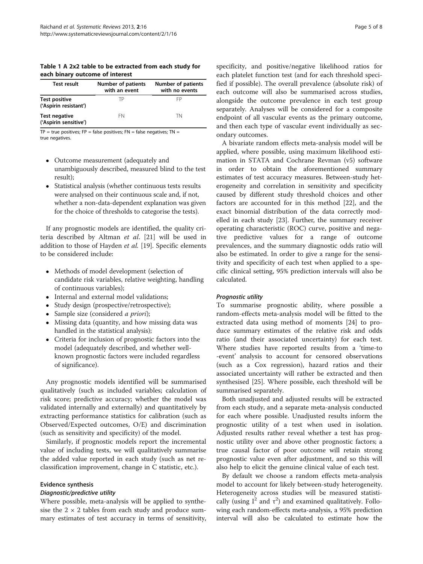<span id="page-4-0"></span>Table 1 A 2x2 table to be extracted from each study for each binary outcome of interest

| <b>Test result</b>                            | <b>Number of patients</b><br>with an event | Number of patients<br>with no events |
|-----------------------------------------------|--------------------------------------------|--------------------------------------|
| <b>Test positive</b><br>('Aspirin resistant') | ТP                                         | FP                                   |
| Test negative<br>('Aspirin sensitive')        | FN                                         | TN                                   |

 $TP = true$  positives;  $FP = false$  positives;  $FN = false$  negatives;  $TN =$ true negatives.

- Outcome measurement (adequately and unambiguously described, measured blind to the test result);
- Statistical analysis (whether continuous tests results were analysed on their continuous scale and, if not, whether a non-data-dependent explanation was given for the choice of thresholds to categorise the tests).

If any prognostic models are identified, the quality criteria described by Altman et al. [[21\]](#page-7-0) will be used in addition to those of Hayden et al. [\[19](#page-7-0)]. Specific elements to be considered include:

- Methods of model development (selection of candidate risk variables, relative weighting, handling of continuous variables);
- Internal and external model validations;
- Study design (prospective/retrospective);
- Sample size (considered *a priori*);
- Missing data (quantity, and how missing data was handled in the statistical analysis);
- Criteria for inclusion of prognostic factors into the model (adequately described, and whether wellknown prognostic factors were included regardless of significance).

Any prognostic models identified will be summarised qualitatively (such as included variables; calculation of risk score; predictive accuracy; whether the model was validated internally and externally) and quantitatively by extracting performance statistics for calibration (such as Observed/Expected outcomes, O/E) and discrimination (such as sensitivity and specificity) of the model.

Similarly, if prognostic models report the incremental value of including tests, we will qualitatively summarise the added value reported in each study (such as net reclassification improvement, change in C statistic, etc.).

## Evidence synthesis

#### Diagnostic/predictive utility

Where possible, meta-analysis will be applied to synthesise the  $2 \times 2$  tables from each study and produce summary estimates of test accuracy in terms of sensitivity,

specificity, and positive/negative likelihood ratios for each platelet function test (and for each threshold specified if possible). The overall prevalence (absolute risk) of each outcome will also be summarised across studies, alongside the outcome prevalence in each test group separately. Analyses will be considered for a composite endpoint of all vascular events as the primary outcome, and then each type of vascular event individually as secondary outcomes.

A bivariate random effects meta-analysis model will be applied, where possible, using maximum likelihood estimation in STATA and Cochrane Revman (v5) software in order to obtain the aforementioned summary estimates of test accuracy measures. Between-study heterogeneity and correlation in sensitivity and specificity caused by different study threshold choices and other factors are accounted for in this method [[22](#page-7-0)], and the exact binomial distribution of the data correctly modelled in each study [[23\]](#page-7-0). Further, the summary receiver operating characteristic (ROC) curve, positive and negative predictive values for a range of outcome prevalences, and the summary diagnostic odds ratio will also be estimated. In order to give a range for the sensitivity and specificity of each test when applied to a specific clinical setting, 95% prediction intervals will also be calculated.

## Prognostic utility

To summarise prognostic ability, where possible a random-effects meta-analysis model will be fitted to the extracted data using method of moments [\[24](#page-7-0)] to produce summary estimates of the relative risk and odds ratio (and their associated uncertainty) for each test. Where studies have reported results from a 'time-to -event' analysis to account for censored observations (such as a Cox regression), hazard ratios and their associated uncertainty will rather be extracted and then synthesised [[25\]](#page-7-0). Where possible, each threshold will be summarised separately.

Both unadjusted and adjusted results will be extracted from each study, and a separate meta-analysis conducted for each where possible. Unadjusted results inform the prognostic utility of a test when used in isolation. Adjusted results rather reveal whether a test has prognostic utility over and above other prognostic factors; a true causal factor of poor outcome will retain strong prognostic value even after adjustment, and so this will also help to elicit the genuine clinical value of each test.

By default we choose a random effects meta-analysis model to account for likely between-study heterogeneity. Heterogeneity across studies will be measured statistically (using  $I^2$  and  $\tau^2$ ) and examined qualitatively. Following each random-effects meta-analysis, a 95% prediction interval will also be calculated to estimate how the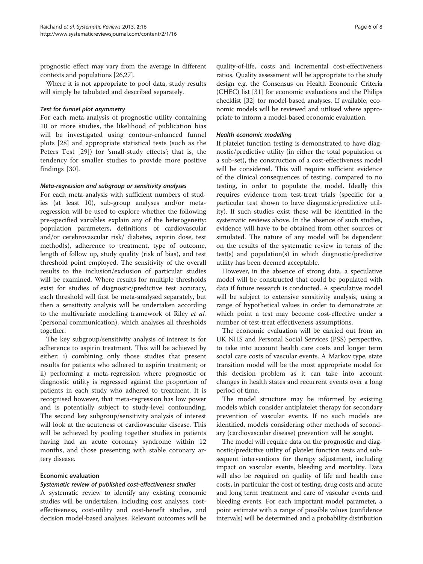prognostic effect may vary from the average in different contexts and populations [\[26,27](#page-7-0)].

Where it is not appropriate to pool data, study results will simply be tabulated and described separately.

#### Test for funnel plot asymmetry

For each meta-analysis of prognostic utility containing 10 or more studies, the likelihood of publication bias will be investigated using contour-enhanced funnel plots [\[28](#page-7-0)] and appropriate statistical tests (such as the Peters Test [\[29](#page-7-0)]) for 'small-study effects'; that is, the tendency for smaller studies to provide more positive findings [[30](#page-7-0)].

#### Meta-regression and subgroup or sensitivity analyses

For each meta-analysis with sufficient numbers of studies (at least 10), sub-group analyses and/or metaregression will be used to explore whether the following pre-specified variables explain any of the heterogeneity: population parameters, definitions of cardiovascular and/or cerebrovascular risk/ diabetes, aspirin dose, test method(s), adherence to treatment, type of outcome, length of follow up, study quality (risk of bias), and test threshold point employed. The sensitivity of the overall results to the inclusion/exclusion of particular studies will be examined. Where results for multiple thresholds exist for studies of diagnostic/predictive test accuracy, each threshold will first be meta-analysed separately, but then a sensitivity analysis will be undertaken according to the multivariate modelling framework of Riley et al. (personal communication), which analyses all thresholds together.

The key subgroup/sensitivity analysis of interest is for adherence to aspirin treatment. This will be achieved by either: i) combining only those studies that present results for patients who adhered to aspirin treatment; or ii) performing a meta-regression where prognostic or diagnostic utility is regressed against the proportion of patients in each study who adhered to treatment. It is recognised however, that meta-regression has low power and is potentially subject to study-level confounding. The second key subgroup/sensitivity analysis of interest will look at the acuteness of cardiovascular disease. This will be achieved by pooling together studies in patients having had an acute coronary syndrome within 12 months, and those presenting with stable coronary artery disease.

#### Economic evaluation

#### Systematic review of published cost-effectiveness studies

A systematic review to identify any existing economic studies will be undertaken, including cost analyses, costeffectiveness, cost-utility and cost-benefit studies, and decision model-based analyses. Relevant outcomes will be quality-of-life, costs and incremental cost-effectiveness ratios. Quality assessment will be appropriate to the study design e.g. the Consensus on Health Economic Criteria (CHEC) list [\[31\]](#page-7-0) for economic evaluations and the Philips checklist [\[32](#page-7-0)] for model-based analyses. If available, economic models will be reviewed and utilised where appropriate to inform a model-based economic evaluation.

#### Health economic modelling

If platelet function testing is demonstrated to have diagnostic/predictive utility (in either the total population or a sub-set), the construction of a cost-effectiveness model will be considered. This will require sufficient evidence of the clinical consequences of testing, compared to no testing, in order to populate the model. Ideally this requires evidence from test-treat trials (specific for a particular test shown to have diagnostic/predictive utility). If such studies exist these will be identified in the systematic reviews above. In the absence of such studies, evidence will have to be obtained from other sources or simulated. The nature of any model will be dependent on the results of the systematic review in terms of the test(s) and population(s) in which diagnostic/predictive utility has been deemed acceptable.

However, in the absence of strong data, a speculative model will be constructed that could be populated with data if future research is conducted. A speculative model will be subject to extensive sensitivity analysis, using a range of hypothetical values in order to demonstrate at which point a test may become cost-effective under a number of test-treat effectiveness assumptions.

The economic evaluation will be carried out from an UK NHS and Personal Social Services (PSS) perspective, to take into account health care costs and longer term social care costs of vascular events. A Markov type, state transition model will be the most appropriate model for this decision problem as it can take into account changes in health states and recurrent events over a long period of time.

The model structure may be informed by existing models which consider antiplatelet therapy for secondary prevention of vascular events. If no such models are identified, models considering other methods of secondary (cardiovascular disease) prevention will be sought.

The model will require data on the prognostic and diagnostic/predictive utility of platelet function tests and subsequent interventions for therapy adjustment, including impact on vascular events, bleeding and mortality. Data will also be required on quality of life and health care costs, in particular the cost of testing, drug costs and acute and long term treatment and care of vascular events and bleeding events. For each important model parameter, a point estimate with a range of possible values (confidence intervals) will be determined and a probability distribution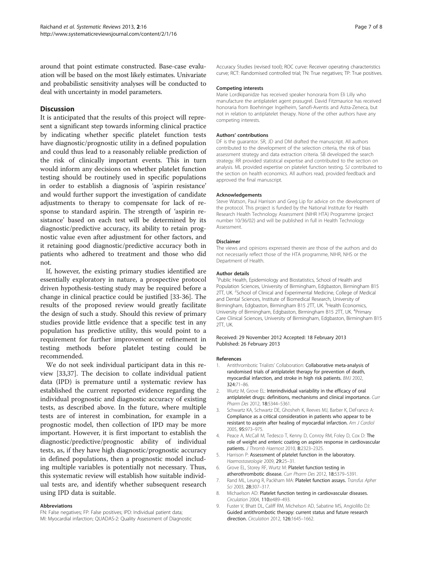<span id="page-6-0"></span>around that point estimate constructed. Base-case evaluation will be based on the most likely estimates. Univariate and probabilistic sensitivity analyses will be conducted to deal with uncertainty in model parameters.

#### **Discussion**

It is anticipated that the results of this project will represent a significant step towards informing clinical practice by indicating whether specific platelet function tests have diagnostic/prognostic utility in a defined population and could thus lead to a reasonably reliable prediction of the risk of clinically important events. This in turn would inform any decisions on whether platelet function testing should be routinely used in specific populations in order to establish a diagnosis of 'aspirin resistance' and would further support the investigation of candidate adjustments to therapy to compensate for lack of response to standard aspirin. The strength of 'aspirin resistance' based on each test will be determined by its diagnostic/predictive accuracy, its ability to retain prognostic value even after adjustment for other factors, and it retaining good diagnostic/predictive accuracy both in patients who adhered to treatment and those who did not.

If, however, the existing primary studies identified are essentially exploratory in nature, a prospective protocol driven hypothesis-testing study may be required before a change in clinical practice could be justified [[33-36](#page-7-0)]. The results of the proposed review would greatly facilitate the design of such a study. Should this review of primary studies provide little evidence that a specific test in any population has predictive utility, this would point to a requirement for further improvement or refinement in testing methods before platelet testing could be recommended.

We do not seek individual participant data in this review [[33,37\]](#page-7-0). The decision to collate individual patient data (IPD) is premature until a systematic review has established the current reported evidence regarding the individual prognostic and diagnostic accuracy of existing tests, as described above. In the future, where multiple tests are of interest in combination, for example in a prognostic model, then collection of IPD may be more important. However, it is first important to establish the diagnostic/predictive/prognostic ability of individual tests, as, if they have high diagnostic/prognostic accuracy in defined populations, then a prognostic model including multiple variables is potentially not necessary. Thus, this systematic review will establish how suitable individual tests are, and identify whether subsequent research using IPD data is suitable.

#### Abbreviations

FN: False negatives; FP: False positives; IPD: Individual patient data; MI: Myocardial infarction; QUADAS-2: Quality Assessment of Diagnostic

Accuracy Studies (revised tool); ROC curve: Receiver operating characteristics curve; RCT: Randomised controlled trial; TN: True negatives; TP: True positives.

#### Competing interests

Marie Lordkipanidze has received speaker honoraria from Eli Lilly who manufacture the antiplatelet agent prasugrel. David Fitzmaurice has received honoraria from Boehringer Ingelheim, Sanofi-Aventis and Astra-Zeneca, but not in relation to antiplatelet therapy. None of the other authors have any competing interests.

#### Authors' contributions

DF is the guarantor. SR, JD and DM drafted the manuscript. All authors contributed to the development of the selection criteria, the risk of bias assessment strategy and data extraction criteria. SB developed the search strategy. RR provided statistical expertise and contributed to the section on analysis. ML provided expertise on platelet function testing. SJ contributed to the section on health economics. All authors read, provided feedback and approved the final manuscript.

#### Acknowledgements

Steve Watson, Paul Harrison and Greg Lip for advice on the development of the protocol. This project is funded by the National Institute for Health Research Health Technology Assessment (NIHR HTA) Programme (project number 10/36/02) and will be published in full in Health Technology Assessment.

#### Disclaimer

The views and opinions expressed therein are those of the authors and do not necessarily reflect those of the HTA programme, NIHR, NHS or the Department of Health.

#### Author details

<sup>1</sup>Public Health, Epidemiology and Biostatistics, School of Health and Population Sciences, University of Birmingham, Edgbaston, Birmingham B15 2TT, UK. <sup>2</sup>School of Clinical and Experimental Medicine, College of Medical and Dental Sciences, Institute of Biomedical Research, University of Birmingham, Edgbaston, Birmingham B15 2TT, UK. <sup>3</sup>Health Economics University of Birmingham, Edgbaston, Birmingham B15 2TT, UK. <sup>4</sup>Primary Care Clinical Sciences, University of Birmingham, Edgbaston, Birmingham B15 2TT, UK.

#### Received: 29 November 2012 Accepted: 18 February 2013 Published: 26 February 2013

#### References

- 1. Antithrombotic Trialists' Collaboration: Collaborative meta-analysis of randomised trials of antiplatelet therapy for prevention of death, myocardial infarction, and stroke in high risk patients. BMJ 2002, 324:71–86.
- 2. Wurtz M, Grove EL: Interindividual variability in the efficacy of oral antiplatelet drugs: definitions, mechanisms and clinical importance. Curr Pharm Des 2012, 18:5344–5361.
- 3. Schwartz KA, Schwartz DE, Ghosheh K, Reeves MJ, Barber K, DeFranco A: Compliance as a critical consideration in patients who appear to be resistant to aspirin after healing of myocardial infarction. Am J Cardiol 2005, 95:973–975.
- 4. Peace A, McCall M, Tedesco T, Kenny D, Conroy RM, Foley D, Cox D: The role of weight and enteric coating on aspirin response in cardiovascular patients. J Thromb Haemost 2010, 8:2323–2325.
- 5. Harrison P: Assessment of platelet function in the laboratory. Haemostaseologie 2009, 29:25–31.
- Grove EL, Storey RF, Wurtz M: Platelet function testing in atherothrombotic disease. Curr Pharm Des 2012, 18:5379–5391.
- 7. Rand ML, Leung R, Packham MA: Platelet function assays. Transfus Apher Sci 2003, 28:307–317.
- 8. Michaelson AD: Platelet function testing in cardiovascular diseases. Circulation 2004, 110:e489-493
- 9. Fuster V, Bhatt DL, Califf RM, Michelson AD, Sabatine MS, Angiolillo DJ: Guided antithrombotic therapy: current status and future research direction. Circulation 2012, 126:1645–1662.